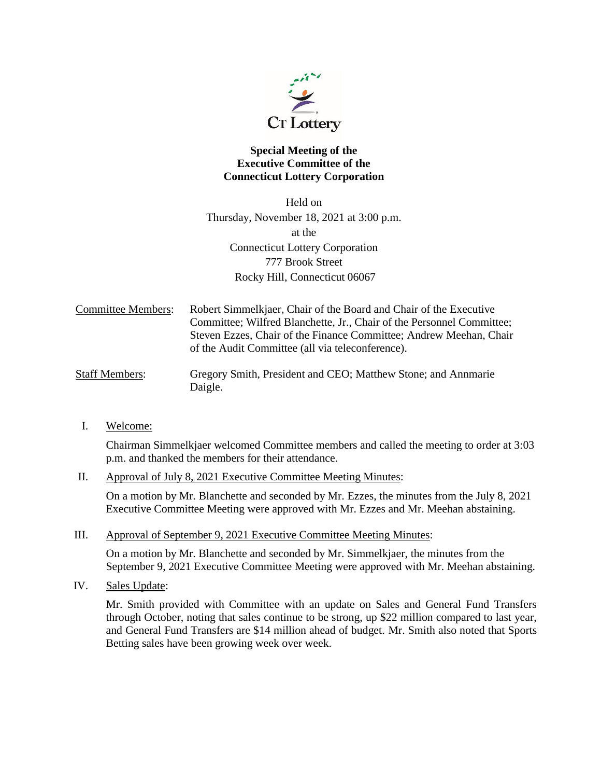

## **Special Meeting of the Executive Committee of the Connecticut Lottery Corporation**

Held on Thursday, November 18, 2021 at 3:00 p.m. at the Connecticut Lottery Corporation 777 Brook Street Rocky Hill, Connecticut 06067

| <b>Committee Members:</b> | Robert Simmelkjaer, Chair of the Board and Chair of the Executive                                                      |
|---------------------------|------------------------------------------------------------------------------------------------------------------------|
|                           | Committee; Wilfred Blanchette, Jr., Chair of the Personnel Committee;                                                  |
|                           | Steven Ezzes, Chair of the Finance Committee; Andrew Meehan, Chair<br>of the Audit Committee (all via teleconference). |
|                           |                                                                                                                        |

- Staff Members: Gregory Smith, President and CEO; Matthew Stone; and Annmarie Daigle.
- I. Welcome:

Chairman Simmelkjaer welcomed Committee members and called the meeting to order at 3:03 p.m. and thanked the members for their attendance.

II. Approval of July 8, 2021 Executive Committee Meeting Minutes:

On a motion by Mr. Blanchette and seconded by Mr. Ezzes, the minutes from the July 8, 2021 Executive Committee Meeting were approved with Mr. Ezzes and Mr. Meehan abstaining.

III. Approval of September 9, 2021 Executive Committee Meeting Minutes:

On a motion by Mr. Blanchette and seconded by Mr. Simmelkjaer, the minutes from the September 9, 2021 Executive Committee Meeting were approved with Mr. Meehan abstaining.

IV. Sales Update:

Mr. Smith provided with Committee with an update on Sales and General Fund Transfers through October, noting that sales continue to be strong, up \$22 million compared to last year, and General Fund Transfers are \$14 million ahead of budget. Mr. Smith also noted that Sports Betting sales have been growing week over week.